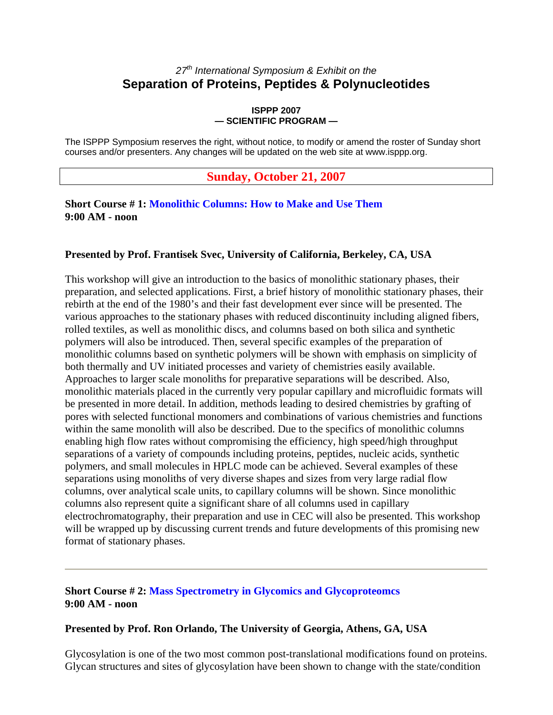## *27th International Symposium & Exhibit on the*  **Separation of Proteins, Peptides & Polynucleotides**

#### **ISPPP 2007 — SCIENTIFIC PROGRAM —**

The ISPPP Symposium reserves the right, without notice, to modify or amend the roster of Sunday short courses and/or presenters. Any changes will be updated on the web site at www.isppp.org.

## **Sunday, October 21, 2007**

### **Short Course # 1: Monolithic Columns: How to Make and Use Them 9:00 AM - noon**

#### **Presented by Prof. Frantisek Svec, University of California, Berkeley, CA, USA**

This workshop will give an introduction to the basics of monolithic stationary phases, their preparation, and selected applications. First, a brief history of monolithic stationary phases, their rebirth at the end of the 1980's and their fast development ever since will be presented. The various approaches to the stationary phases with reduced discontinuity including aligned fibers, rolled textiles, as well as monolithic discs, and columns based on both silica and synthetic polymers will also be introduced. Then, several specific examples of the preparation of monolithic columns based on synthetic polymers will be shown with emphasis on simplicity of both thermally and UV initiated processes and variety of chemistries easily available. Approaches to larger scale monoliths for preparative separations will be described. Also, monolithic materials placed in the currently very popular capillary and microfluidic formats will be presented in more detail. In addition, methods leading to desired chemistries by grafting of pores with selected functional monomers and combinations of various chemistries and functions within the same monolith will also be described. Due to the specifics of monolithic columns enabling high flow rates without compromising the efficiency, high speed/high throughput separations of a variety of compounds including proteins, peptides, nucleic acids, synthetic polymers, and small molecules in HPLC mode can be achieved. Several examples of these separations using monoliths of very diverse shapes and sizes from very large radial flow columns, over analytical scale units, to capillary columns will be shown. Since monolithic columns also represent quite a significant share of all columns used in capillary electrochromatography, their preparation and use in CEC will also be presented. This workshop will be wrapped up by discussing current trends and future developments of this promising new format of stationary phases.

## **Short Course # 2: Mass Spectrometry in Glycomics and Glycoproteomcs 9:00 AM - noon**

### **Presented by Prof. Ron Orlando, The University of Georgia, Athens, GA, USA**

Glycosylation is one of the two most common post-translational modifications found on proteins. Glycan structures and sites of glycosylation have been shown to change with the state/condition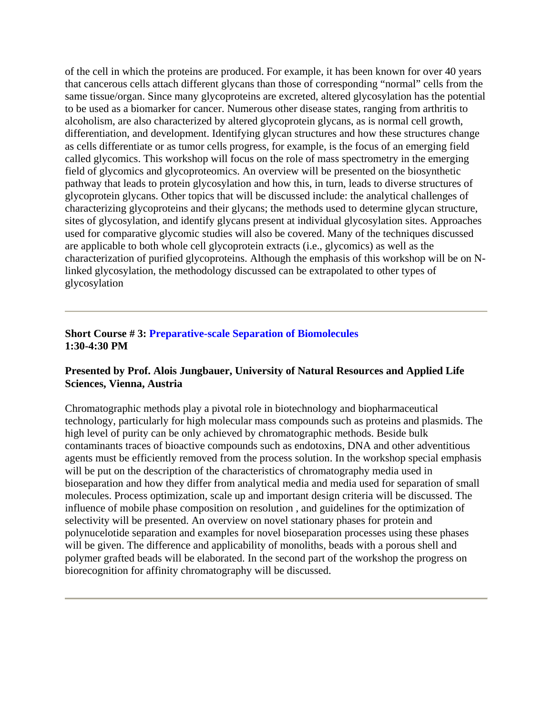of the cell in which the proteins are produced. For example, it has been known for over 40 years that cancerous cells attach different glycans than those of corresponding "normal" cells from the same tissue/organ. Since many glycoproteins are excreted, altered glycosylation has the potential to be used as a biomarker for cancer. Numerous other disease states, ranging from arthritis to alcoholism, are also characterized by altered glycoprotein glycans, as is normal cell growth, differentiation, and development. Identifying glycan structures and how these structures change as cells differentiate or as tumor cells progress, for example, is the focus of an emerging field called glycomics. This workshop will focus on the role of mass spectrometry in the emerging field of glycomics and glycoproteomics. An overview will be presented on the biosynthetic pathway that leads to protein glycosylation and how this, in turn, leads to diverse structures of glycoprotein glycans. Other topics that will be discussed include: the analytical challenges of characterizing glycoproteins and their glycans; the methods used to determine glycan structure, sites of glycosylation, and identify glycans present at individual glycosylation sites. Approaches used for comparative glycomic studies will also be covered. Many of the techniques discussed are applicable to both whole cell glycoprotein extracts (i.e., glycomics) as well as the characterization of purified glycoproteins. Although the emphasis of this workshop will be on Nlinked glycosylation, the methodology discussed can be extrapolated to other types of glycosylation

## **Short Course # 3: Preparative-scale Separation of Biomolecules 1:30-4:30 PM**

### **Presented by Prof. Alois Jungbauer, University of Natural Resources and Applied Life Sciences, Vienna, Austria**

Chromatographic methods play a pivotal role in biotechnology and biopharmaceutical technology, particularly for high molecular mass compounds such as proteins and plasmids. The high level of purity can be only achieved by chromatographic methods. Beside bulk contaminants traces of bioactive compounds such as endotoxins, DNA and other adventitious agents must be efficiently removed from the process solution. In the workshop special emphasis will be put on the description of the characteristics of chromatography media used in bioseparation and how they differ from analytical media and media used for separation of small molecules. Process optimization, scale up and important design criteria will be discussed. The influence of mobile phase composition on resolution , and guidelines for the optimization of selectivity will be presented. An overview on novel stationary phases for protein and polynucelotide separation and examples for novel bioseparation processes using these phases will be given. The difference and applicability of monoliths, beads with a porous shell and polymer grafted beads will be elaborated. In the second part of the workshop the progress on biorecognition for affinity chromatography will be discussed.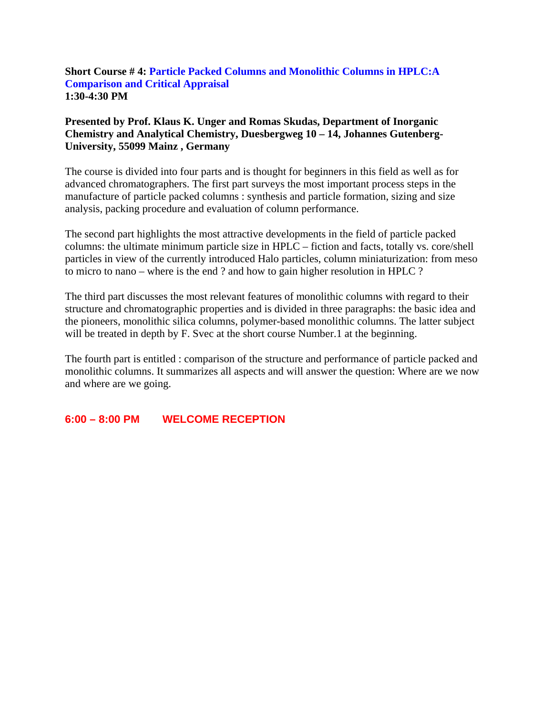### **Short Course # 4: Particle Packed Columns and Monolithic Columns in HPLC:A Comparison and Critical Appraisal 1:30-4:30 PM**

## **Presented by Prof. Klaus K. Unger and Romas Skudas, Department of Inorganic Chemistry and Analytical Chemistry, Duesbergweg 10 – 14, Johannes Gutenberg-University, 55099 Mainz , Germany**

The course is divided into four parts and is thought for beginners in this field as well as for advanced chromatographers. The first part surveys the most important process steps in the manufacture of particle packed columns : synthesis and particle formation, sizing and size analysis, packing procedure and evaluation of column performance.

The second part highlights the most attractive developments in the field of particle packed columns: the ultimate minimum particle size in HPLC – fiction and facts, totally vs. core/shell particles in view of the currently introduced Halo particles, column miniaturization: from meso to micro to nano – where is the end ? and how to gain higher resolution in HPLC ?

The third part discusses the most relevant features of monolithic columns with regard to their structure and chromatographic properties and is divided in three paragraphs: the basic idea and the pioneers, monolithic silica columns, polymer-based monolithic columns. The latter subject will be treated in depth by F. Svec at the short course Number.1 at the beginning.

The fourth part is entitled : comparison of the structure and performance of particle packed and monolithic columns. It summarizes all aspects and will answer the question: Where are we now and where are we going.

## **6:00 – 8:00 PM WELCOME RECEPTION**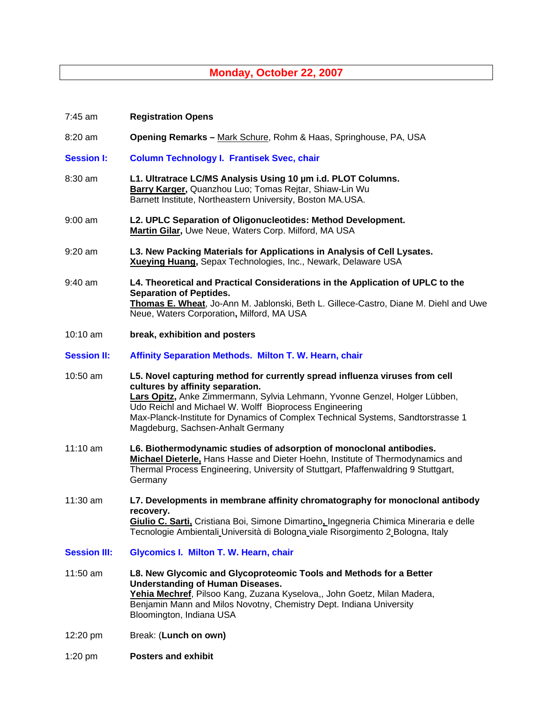# **Monday, October 22, 2007**

| 7:45 am             | <b>Registration Opens</b>                                                                                                                                                                                                                                                                                                                                                        |
|---------------------|----------------------------------------------------------------------------------------------------------------------------------------------------------------------------------------------------------------------------------------------------------------------------------------------------------------------------------------------------------------------------------|
| 8:20 am             | Opening Remarks - Mark Schure, Rohm & Haas, Springhouse, PA, USA                                                                                                                                                                                                                                                                                                                 |
| <b>Session I:</b>   | <b>Column Technology I. Frantisek Svec, chair</b>                                                                                                                                                                                                                                                                                                                                |
| 8:30 am             | L1. Ultratrace LC/MS Analysis Using 10 µm i.d. PLOT Columns.<br>Barry Karger, Quanzhou Luo; Tomas Rejtar, Shiaw-Lin Wu<br>Barnett Institute, Northeastern University, Boston MA.USA.                                                                                                                                                                                             |
| $9:00$ am           | L2. UPLC Separation of Oligonucleotides: Method Development.<br>Martin Gilar, Uwe Neue, Waters Corp. Milford, MA USA                                                                                                                                                                                                                                                             |
| $9:20$ am           | L3. New Packing Materials for Applications in Analysis of Cell Lysates.<br>Xueying Huang, Sepax Technologies, Inc., Newark, Delaware USA                                                                                                                                                                                                                                         |
| 9:40 am             | L4. Theoretical and Practical Considerations in the Application of UPLC to the<br><b>Separation of Peptides.</b><br>Thomas E. Wheat, Jo-Ann M. Jablonski, Beth L. Gillece-Castro, Diane M. Diehl and Uwe<br>Neue, Waters Corporation, Milford, MA USA                                                                                                                            |
| 10:10 am            | break, exhibition and posters                                                                                                                                                                                                                                                                                                                                                    |
| <b>Session II:</b>  | Affinity Separation Methods. Milton T. W. Hearn, chair                                                                                                                                                                                                                                                                                                                           |
| 10:50 am            | L5. Novel capturing method for currently spread influenza viruses from cell<br>cultures by affinity separation.<br>Lars Opitz, Anke Zimmermann, Sylvia Lehmann, Yvonne Genzel, Holger Lübben,<br>Udo Reichl and Michael W. Wolff Bioprocess Engineering<br>Max-Planck-Institute for Dynamics of Complex Technical Systems, Sandtorstrasse 1<br>Magdeburg, Sachsen-Anhalt Germany |
| 11:10 am            | L6. Biothermodynamic studies of adsorption of monoclonal antibodies.<br>Michael Dieterle, Hans Hasse and Dieter Hoehn, Institute of Thermodynamics and<br>Thermal Process Engineering, University of Stuttgart, Pfaffenwaldring 9 Stuttgart,<br>Germany                                                                                                                          |
| 11:30 am            | L7. Developments in membrane affinity chromatography for monoclonal antibody<br>recovery.<br>Giulio C. Sarti, Cristiana Boi, Simone Dimartino, Ingegneria Chimica Mineraria e delle<br>Tecnologie Ambientali Università di Bologna viale Risorgimento 2 Bologna, Italy                                                                                                           |
| <b>Session III:</b> | Glycomics I. Milton T. W. Hearn, chair                                                                                                                                                                                                                                                                                                                                           |
| 11:50 am            | L8. New Glycomic and Glycoproteomic Tools and Methods for a Better<br><b>Understanding of Human Diseases.</b><br>Yehia Mechref, Pilsoo Kang, Zuzana Kyselova,, John Goetz, Milan Madera,<br>Benjamin Mann and Milos Novotny, Chemistry Dept. Indiana University<br>Bloomington, Indiana USA                                                                                      |
| 12:20 pm            | Break: (Lunch on own)                                                                                                                                                                                                                                                                                                                                                            |
| $1:20$ pm           | <b>Posters and exhibit</b>                                                                                                                                                                                                                                                                                                                                                       |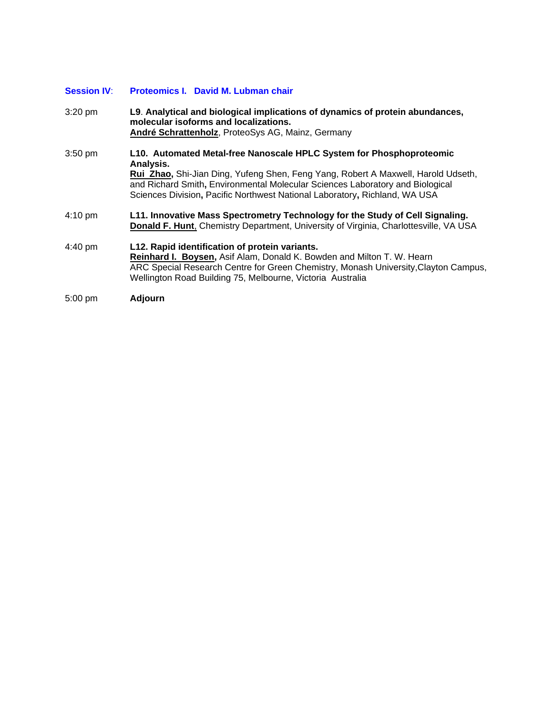#### **Session IV**: **Proteomics I. David M. Lubman chair**

3:20 pm **L9**. **Analytical and biological implications of dynamics of protein abundances, molecular isoforms and localizations. André Schrattenholz**, ProteoSys AG, Mainz, Germany 3:50 pm **L10. Automated Metal-free Nanoscale HPLC System for Phosphoproteomic Analysis. Rui Zhao,** Shi-Jian Ding, Yufeng Shen, Feng Yang, Robert A Maxwell, Harold Udseth, and Richard Smith**,** Environmental Molecular Sciences Laboratory and Biological Sciences Division**,** Pacific Northwest National Laboratory**,** Richland, WA USA 4:10 pm **L11. Innovative Mass Spectrometry Technology for the Study of Cell Signaling. Donald F. Hunt**, Chemistry Department, University of Virginia, Charlottesville, VA USA 4:40 pm **L12. Rapid identification of protein variants. Reinhard I. Boysen,** Asif Alam, Donald K. Bowden and Milton T. W. Hearn ARC Special Research Centre for Green Chemistry, Monash University,Clayton Campus, Wellington Road Building 75, Melbourne, Victoria Australia

5:00 pm **Adjourn**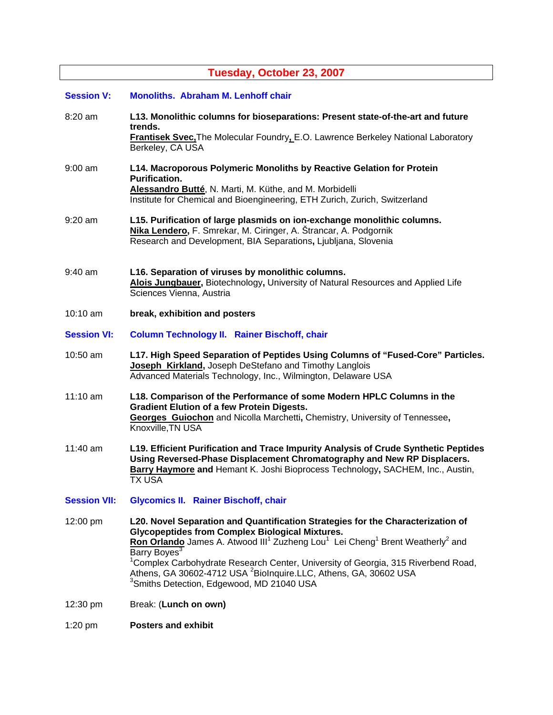# **Tuesday, October 23, 2007**

| <b>Session V:</b>   | <b>Monoliths. Abraham M. Lenhoff chair</b>                                                                                                                                                                                                                                                                                                                                                                                                                                                                                                       |
|---------------------|--------------------------------------------------------------------------------------------------------------------------------------------------------------------------------------------------------------------------------------------------------------------------------------------------------------------------------------------------------------------------------------------------------------------------------------------------------------------------------------------------------------------------------------------------|
| 8:20 am             | L13. Monolithic columns for bioseparations: Present state-of-the-art and future<br>trends.<br><b>Frantisek Svec, The Molecular Foundry, E.O. Lawrence Berkeley National Laboratory</b><br>Berkeley, CA USA                                                                                                                                                                                                                                                                                                                                       |
| $9:00$ am           | L14. Macroporous Polymeric Monoliths by Reactive Gelation for Protein<br><b>Purification.</b><br>Alessandro Butté, N. Marti, M. Küthe, and M. Morbidelli<br>Institute for Chemical and Bioengineering, ETH Zurich, Zurich, Switzerland                                                                                                                                                                                                                                                                                                           |
| $9:20$ am           | L15. Purification of large plasmids on ion-exchange monolithic columns.<br>Nika Lendero, F. Smrekar, M. Ciringer, A. Štrancar, A. Podgornik<br>Research and Development, BIA Separations, Ljubljana, Slovenia                                                                                                                                                                                                                                                                                                                                    |
| $9:40$ am           | L16. Separation of viruses by monolithic columns.<br>Alois Jungbauer, Biotechnology, University of Natural Resources and Applied Life<br>Sciences Vienna, Austria                                                                                                                                                                                                                                                                                                                                                                                |
| 10:10 am            | break, exhibition and posters                                                                                                                                                                                                                                                                                                                                                                                                                                                                                                                    |
| <b>Session VI:</b>  | <b>Column Technology II. Rainer Bischoff, chair</b>                                                                                                                                                                                                                                                                                                                                                                                                                                                                                              |
| 10:50 am            | L17. High Speed Separation of Peptides Using Columns of "Fused-Core" Particles.<br>Joseph Kirkland, Joseph DeStefano and Timothy Langlois<br>Advanced Materials Technology, Inc., Wilmington, Delaware USA                                                                                                                                                                                                                                                                                                                                       |
| 11:10 am            | L18. Comparison of the Performance of some Modern HPLC Columns in the<br><b>Gradient Elution of a few Protein Digests.</b><br>Georges Guiochon and Nicolla Marchetti, Chemistry, University of Tennessee,<br>Knoxville, TN USA                                                                                                                                                                                                                                                                                                                   |
| 11:40 am            | L19. Efficient Purification and Trace Impurity Analysis of Crude Synthetic Peptides<br>Using Reversed-Phase Displacement Chromatography and New RP Displacers.<br>Barry Haymore and Hemant K. Joshi Bioprocess Technology, SACHEM, Inc., Austin,<br><b>TX USA</b>                                                                                                                                                                                                                                                                                |
| <b>Session VII:</b> | <b>Glycomics II. Rainer Bischoff, chair</b>                                                                                                                                                                                                                                                                                                                                                                                                                                                                                                      |
| 12:00 pm            | L20. Novel Separation and Quantification Strategies for the Characterization of<br><b>Glycopeptides from Complex Biological Mixtures.</b><br>Ron Orlando James A. Atwood III <sup>1</sup> Zuzheng Lou <sup>1</sup> Lei Cheng <sup>1</sup> Brent Weatherly <sup>2</sup> and<br>Barry Boyes <sup>3</sup><br><sup>1</sup> Complex Carbohydrate Research Center, University of Georgia, 315 Riverbend Road,<br>Athens, GA 30602-4712 USA <sup>2</sup> Biolnquire.LLC, Athens, GA, 30602 USA<br><sup>3</sup> Smiths Detection, Edgewood, MD 21040 USA |
| 12:30 pm            | Break: (Lunch on own)                                                                                                                                                                                                                                                                                                                                                                                                                                                                                                                            |
| 1:20 pm             | <b>Posters and exhibit</b>                                                                                                                                                                                                                                                                                                                                                                                                                                                                                                                       |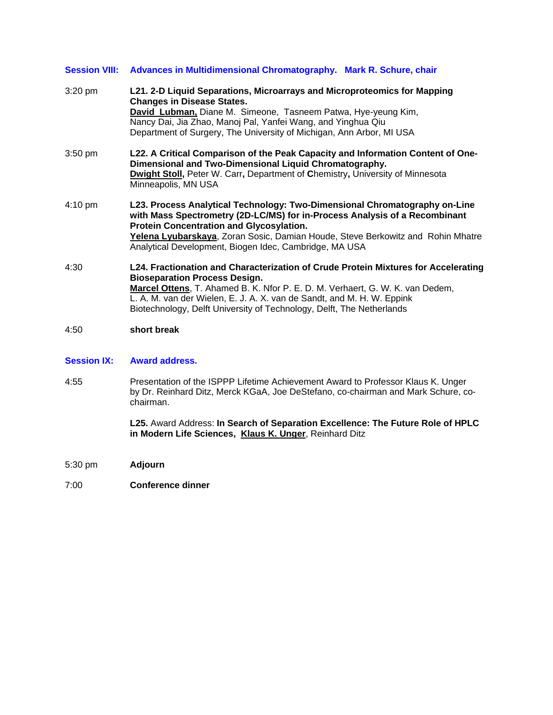|                   | Session VIII: Advances in Multidimensional Chromatography. Mark R. Schure, chair                                                                                                                                                                                                                                                                               |
|-------------------|----------------------------------------------------------------------------------------------------------------------------------------------------------------------------------------------------------------------------------------------------------------------------------------------------------------------------------------------------------------|
| $3:20$ pm         | L21. 2-D Liquid Separations, Microarrays and Microproteomics for Mapping<br><b>Changes in Disease States.</b><br>David Lubman, Diane M. Simeone, Tasneem Patwa, Hye-yeung Kim,<br>Nancy Dai, Jia Zhao, Manoj Pal, Yanfei Wang, and Yinghua Qiu<br>Department of Surgery, The University of Michigan, Ann Arbor, MI USA                                         |
| $3:50$ pm         | L22. A Critical Comparison of the Peak Capacity and Information Content of One-<br>Dimensional and Two-Dimensional Liquid Chromatography.<br>Dwight Stoll, Peter W. Carr, Department of Chemistry, University of Minnesota<br>Minneapolis, MN USA                                                                                                              |
| $4:10 \text{ pm}$ | L23. Process Analytical Technology: Two-Dimensional Chromatography on-Line<br>with Mass Spectrometry (2D-LC/MS) for in-Process Analysis of a Recombinant<br><b>Protein Concentration and Glycosylation.</b><br>Yelena Lyubarskaya, Zoran Sosic, Damian Houde, Steve Berkowitz and Rohin Mhatre<br>Analytical Development, Biogen Idec, Cambridge, MA USA       |
| 4:30              | L24. Fractionation and Characterization of Crude Protein Mixtures for Accelerating<br><b>Bioseparation Process Design.</b><br>Marcel Ottens, T. Ahamed B. K. Nfor P. E. D. M. Verhaert, G. W. K. van Dedem,<br>L. A. M. van der Wielen, E. J. A. X. van de Sandt, and M. H. W. Eppink<br>Biotechnology, Delft University of Technology, Delft, The Netherlands |

4:50 **short break**

#### **Session IX: Award address.**

4:55 Presentation of the ISPPP Lifetime Achievement Award to Professor Klaus K. Unger by Dr. Reinhard Ditz, Merck KGaA, Joe DeStefano, co-chairman and Mark Schure, cochairman.

> **L25.** Award Address: **In Search of Separation Excellence: The Future Role of HPLC in Modern Life Sciences, Klaus K. Unger**, Reinhard Ditz

- 5:30 pm **Adjourn**
- 7:00 **Conference dinner**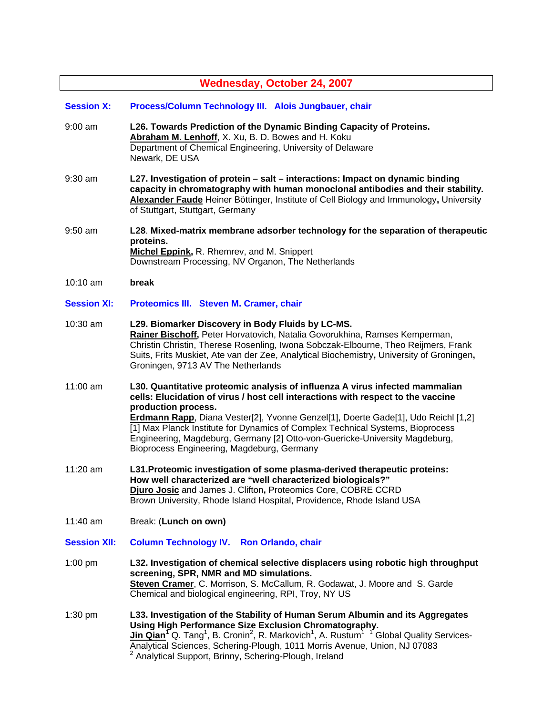| <b>Wednesday, October 24, 2007</b> |                                                                                                                                                                                                                                                                                                                                                                                                                                                                                             |  |
|------------------------------------|---------------------------------------------------------------------------------------------------------------------------------------------------------------------------------------------------------------------------------------------------------------------------------------------------------------------------------------------------------------------------------------------------------------------------------------------------------------------------------------------|--|
| <b>Session X:</b>                  | Process/Column Technology III. Alois Jungbauer, chair                                                                                                                                                                                                                                                                                                                                                                                                                                       |  |
| $9:00$ am                          | L26. Towards Prediction of the Dynamic Binding Capacity of Proteins.<br>Abraham M. Lenhoff, X. Xu, B. D. Bowes and H. Koku<br>Department of Chemical Engineering, University of Delaware<br>Newark, DE USA                                                                                                                                                                                                                                                                                  |  |
| $9:30$ am                          | L27. Investigation of protein - salt - interactions: Impact on dynamic binding<br>capacity in chromatography with human monoclonal antibodies and their stability.<br>Alexander Faude Heiner Böttinger, Institute of Cell Biology and Immunology, University<br>of Stuttgart, Stuttgart, Germany                                                                                                                                                                                            |  |
| $9:50$ am                          | L28. Mixed-matrix membrane adsorber technology for the separation of therapeutic<br>proteins.<br>Michel Eppink, R. Rhemrev, and M. Snippert<br>Downstream Processing, NV Organon, The Netherlands                                                                                                                                                                                                                                                                                           |  |
| $10:10$ am                         | break                                                                                                                                                                                                                                                                                                                                                                                                                                                                                       |  |
| <b>Session XI:</b>                 | Proteomics III. Steven M. Cramer, chair                                                                                                                                                                                                                                                                                                                                                                                                                                                     |  |
| 10:30 am                           | L29. Biomarker Discovery in Body Fluids by LC-MS.<br>Rainer Bischoff, Peter Horvatovich, Natalia Govorukhina, Ramses Kemperman,<br>Christin Christin, Therese Rosenling, Iwona Sobczak-Elbourne, Theo Reijmers, Frank<br>Suits, Frits Muskiet, Ate van der Zee, Analytical Biochemistry, University of Groningen,<br>Groningen, 9713 AV The Netherlands                                                                                                                                     |  |
| 11:00 am                           | L30. Quantitative proteomic analysis of influenza A virus infected mammalian<br>cells: Elucidation of virus / host cell interactions with respect to the vaccine<br>production process.<br>Erdmann Rapp, Diana Vester[2], Yvonne Genzel[1], Doerte Gade[1], Udo Reichl [1,2]<br>[1] Max Planck Institute for Dynamics of Complex Technical Systems, Bioprocess<br>Engineering, Magdeburg, Germany [2] Otto-von-Guericke-University Magdeburg,<br>Bioprocess Engineering, Magdeburg, Germany |  |
| 11:20 am                           | L31. Proteomic investigation of some plasma-derived therapeutic proteins:<br>How well characterized are "well characterized biologicals?"<br>Djuro Josic and James J. Clifton, Proteomics Core, COBRE CCRD<br>Brown University, Rhode Island Hospital, Providence, Rhode Island USA                                                                                                                                                                                                         |  |
| 11:40 am                           | Break: (Lunch on own)                                                                                                                                                                                                                                                                                                                                                                                                                                                                       |  |
| <b>Session XII:</b>                | <b>Column Technology IV.</b><br><b>Ron Orlando, chair</b>                                                                                                                                                                                                                                                                                                                                                                                                                                   |  |
| $1:00$ pm                          | L32. Investigation of chemical selective displacers using robotic high throughput<br>screening, SPR, NMR and MD simulations.<br>Steven Cramer, C. Morrison, S. McCallum, R. Godawat, J. Moore and S. Garde<br>Chemical and biological engineering, RPI, Troy, NY US                                                                                                                                                                                                                         |  |
| $1:30$ pm                          | L33. Investigation of the Stability of Human Serum Albumin and its Aggregates<br>Using High Performance Size Exclusion Chromatography.<br><b>Jin Qian<sup>T</sup>Q.</b> Tang <sup>1</sup> , B. Cronin <sup>2</sup> , R. Markovich <sup>1</sup> , A. Rustum <sup>1</sup> <sup>T</sup> Global Quality Services-<br>Analytical Sciences, Schering-Plough, 1011 Morris Avenue, Union, NJ 07083<br><sup>2</sup> Analytical Support, Brinny, Schering-Plough, Ireland                             |  |